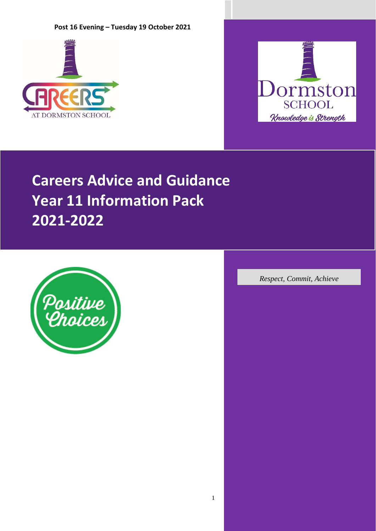



# **Careers Advice and Guidance Year 11 Information Pack 2021-2022**



*Respect, Commit, Achieve*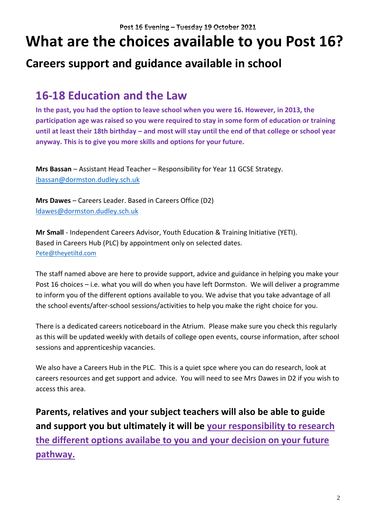# **What are the choices available to you Post 16?**

# **Careers support and guidance available in school**

# **16-18 Education and the Law**

**In the past, you had the option to leave school when you were 16. However, in 2013, the participation age was raised so you were required to stay in some form of education or training until at least their 18th birthday – and most will stay until the end of that college or school year anyway. This is to give you more skills and options for your future.**

**Mrs Bassan** – Assistant Head Teacher – Responsibility for Year 11 GCSE Strategy. [ibassan@dormston.dudley.sch.uk](mailto:ibassan@dormston.dudley.sch.uk)

**Mrs Dawes** – Careers Leader. Based in Careers Office (D2) [ldawes@dormston.dudley.sch.uk](mailto:ldawes@dormston.dudley.sch.uk)

**Mr Small** - Independent Careers Advisor, Youth Education & Training Initiative (YETI). Based in Careers Hub (PLC) by appointment only on selected dates. [Pete@theyetiltd.com](mailto:Pete@theyetiltd.com)

The staff named above are here to provide support, advice and guidance in helping you make your Post 16 choices – i.e. what you will do when you have left Dormston. We will deliver a programme to inform you of the different options available to you. We advise that you take advantage of all the school events/after-school sessions/activities to help you make the right choice for you.

There is a dedicated careers noticeboard in the Atrium. Please make sure you check this regularly as this will be updated weekly with details of college open events, course information, after school sessions and apprenticeship vacancies.

We also have a Careers Hub in the PLC. This is a quiet spce where you can do research, look at careers resources and get support and advice. You will need to see Mrs Dawes in D2 if you wish to access this area.

**Parents, relatives and your subject teachers will also be able to guide and support you but ultimately it will be your responsibility to research the different options availabe to you and your decision on your future pathway.**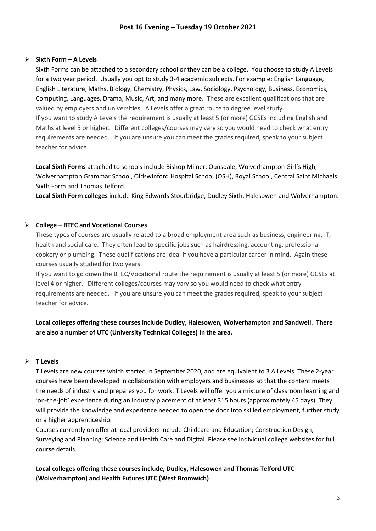# ➢ **Sixth Form – A Levels**

Sixth Forms can be attached to a secondary school or they can be a college. You choose to study A Levels for a two year period. Usually you opt to study 3-4 academic subjects. For example: English Language, English Literature, Maths, Biology, Chemistry, Physics, Law, Sociology, Psychology, Business, Economics, Computing, Languages, Drama, Music, Art, and many more. These are excellent qualifications that are valued by employers and universities. A Levels offer a great route to degree level study. If you want to study A Levels the requirement is usually at least 5 (or more) GCSEs including English and Maths at level 5 or higher. Different colleges/courses may vary so you would need to check what entry requirements are needed. If you are unsure you can meet the grades required, speak to your subject teacher for advice.

**Local Sixth Forms** attached to schools include Bishop Milner, Ounsdale, Wolverhampton Girl's High, Wolverhampton Grammar School, Oldswinford Hospital School (OSH), Royal School, Central Saint Michaels Sixth Form and Thomas Telford.

**Local Sixth Form colleges** include King Edwards Stourbridge, Dudley Sixth, Halesowen and Wolverhampton.

# ➢ **College – BTEC and Vocational Courses**

These types of courses are usually related to a broad employment area such as business, engineering, IT, health and social care. They often lead to specific jobs such as hairdressing, accounting, professional cookery or plumbing. These qualifications are ideal if you have a particular career in mind. Again these courses usually studied for two years.

If you want to go down the BTEC/Vocational route the requirement is usually at least 5 (or more) GCSEs at level 4 or higher. Different colleges/courses may vary so you would need to check what entry requirements are needed. If you are unsure you can meet the grades required, speak to your subject teacher for advice.

# **Local colleges offering these courses include Dudley, Halesowen, Wolverhampton and Sandwell. There are also a number of UTC (University Technical Colleges) in the area.**

#### ➢ **T Levels**

T Levels are new courses which started in September 2020, and are equivalent to 3 A Levels. These 2-year courses have been developed in collaboration with employers and businesses so that the content meets the needs of industry and prepares you for work. T Levels will offer you a mixture of classroom learning and 'on-the-job' experience during an industry placement of at least 315 hours (approximately 45 days). They will provide the knowledge and experience needed to open the door into skilled employment, further study or a higher apprenticeship.

Courses currently on offer at local providers include Childcare and Education; Construction Design, Surveying and Planning; Science and Health Care and Digital. Please see individual college websites for full course details.

**Local colleges offering these courses include, Dudley, Halesowen and Thomas Telford UTC (Wolverhampton) and Health Futures UTC (West Bromwich)**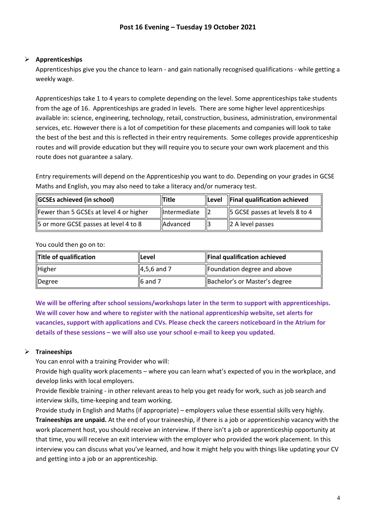# ➢ **Apprenticeships**

Apprenticeships give you the chance to learn - and gain nationally recognised qualifications - while getting a weekly wage.

Apprenticeships take 1 to 4 years to complete depending on the level. Some apprenticeships take students from the age of 16. Apprenticeships are graded in levels. There are some higher level apprenticeships available in: science, engineering, technology, retail, construction, business, administration, environmental services, etc. However there is a lot of competition for these placements and companies will look to take the best of the best and this is reflected in their entry requirements. Some colleges provide apprenticeship routes and will provide education but they will require you to secure your own work placement and this route does not guarantee a salary.

Entry requirements will depend on the Apprenticeship you want to do. Depending on your grades in GCSE Maths and English, you may also need to take a literacy and/or numeracy test.

| <b>GCSEs achieved (in school)</b>       | <b>Title</b>    | $\ $ Level $\ $ Final qualification achieved |  |
|-----------------------------------------|-----------------|----------------------------------------------|--|
| Fewer than 5 GCSEs at level 4 or higher | Intermediate    | $\vert$ 5 GCSE passes at levels 8 to 4       |  |
| 5 or more GCSE passes at level 4 to 8   | <b>Advanced</b> | $\vert$ 2 A level passes                     |  |

You could then go on to:

| Title of qualification | llLevel             | Final qualification achieved  |
|------------------------|---------------------|-------------------------------|
| Higher                 | $\vert$ 4,5,6 and 7 | Foundation degree and above   |
| Degree                 | $\vert$ 6 and 7     | Bachelor's or Master's degree |

**We will be offering after school sessions/workshops later in the term to support with apprenticeships. We will cover how and where to register with the national apprenticeship website, set alerts for vacancies, support with applications and CVs. Please check the careers noticeboard in the Atrium for details of these sessions – we will also use your school e-mail to keep you updated.**

# ➢ **Traineeships**

You can enrol with a training Provider who will:

Provide high quality work placements – where you can learn what's expected of you in the workplace, and develop links with local employers.

Provide flexible training - in other relevant areas to help you get ready for work, such as job search and interview skills, time-keeping and team working.

Provide study in English and Maths (if appropriate) – employers value these essential skills very highly. **Traineeships are unpaid.** At the end of your traineeship, if there is a job or apprenticeship vacancy with the work placement host, you should receive an interview. If there isn't a job or apprenticeship opportunity at that time, you will receive an exit interview with the employer who provided the work placement. In this interview you can discuss what you've learned, and how it might help you with things like updating your CV and getting into a job or an apprenticeship.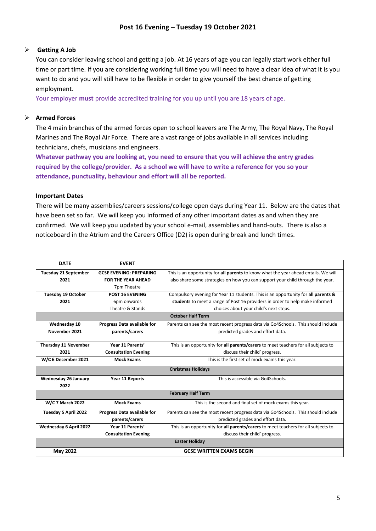# ➢ **Getting A Job**

You can consider leaving school and getting a job. At 16 years of age you can legally start work either full time or part time. If you are considering working full time you will need to have a clear idea of what it is you want to do and you will still have to be flexible in order to give yourself the best chance of getting employment.

Your employer **must** provide accredited training for you up until you are 18 years of age.

# ➢ **Armed Forces**

The 4 main branches of the armed forces open to school leavers are The Army, The Royal Navy, The Royal Marines and The Royal Air Force. There are a vast range of jobs available in all services including technicians, chefs, musicians and engineers.

**Whatever pathway you are looking at, you need to ensure that you will achieve the entry grades required by the college/provider. As a school we will have to write a reference for you so your attendance, punctuality, behaviour and effort will all be reported.** 

#### **Important Dates**

There will be many assemblies/careers sessions/college open days during Year 11. Below are the dates that have been set so far. We will keep you informed of any other important dates as and when they are confirmed. We will keep you updated by your school e-mail, assemblies and hand-outs. There is also a noticeboard in the Atrium and the Careers Office (D2) is open during break and lunch times.

| <b>DATE</b>                 | <b>EVENT</b>                   |                                                                                     |  |
|-----------------------------|--------------------------------|-------------------------------------------------------------------------------------|--|
| <b>Tuesday 21 September</b> | <b>GCSE EVENING: PREPARING</b> | This is an opportunity for all parents to know what the year ahead entails. We will |  |
| 2021                        | <b>FOR THE YEAR AHEAD</b>      | also share some strategies on how you can support your child through the year.      |  |
|                             | 7pm Theatre                    |                                                                                     |  |
| <b>Tuesday 19 October</b>   | <b>POST 16 EVENING</b>         | Compulsory evening for Year 11 students. This is an opportunity for all parents &   |  |
| 2021                        | 6pm onwards                    | students to meet a range of Post 16 providers in order to help make informed        |  |
|                             | Theatre & Stands               | choices about your child's next steps.                                              |  |
| <b>October Half Term</b>    |                                |                                                                                     |  |
| Wednesday 10                | Progress Data available for    | Parents can see the most recent progress data via Go4Schools. This should include   |  |
| November 2021               | parents/carers                 | predicted grades and effort data.                                                   |  |
|                             |                                |                                                                                     |  |
| Thursday 11 November        | Year 11 Parents'               | This is an opportunity for all parents/carers to meet teachers for all subjects to  |  |
| 2021                        | <b>Consultation Evening</b>    | discuss their child' progress.                                                      |  |
| W/C 6 December 2021         | <b>Mock Exams</b>              | This is the first set of mock exams this year.                                      |  |
|                             |                                | <b>Christmas Holidays</b>                                                           |  |
| Wednesday 26 January        | Year 11 Reports                | This is accessible via Go4Schools.                                                  |  |
| 2022                        |                                |                                                                                     |  |
|                             |                                | <b>February Half Term</b>                                                           |  |
| W/C 7 March 2022            | <b>Mock Exams</b>              | This is the second and final set of mock exams this year.                           |  |
| Tuesday 5 April 2022        | Progress Data available for    | Parents can see the most recent progress data via Go4Schools. This should include   |  |
|                             | parents/carers                 | predicted grades and effort data.                                                   |  |
| Wednesday 6 April 2022      | Year 11 Parents'               | This is an opportunity for all parents/carers to meet teachers for all subjects to  |  |
|                             | <b>Consultation Evening</b>    | discuss their child' progress.                                                      |  |
| <b>Easter Holiday</b>       |                                |                                                                                     |  |
| May 2022                    |                                | <b>GCSE WRITTEN EXAMS BEGIN</b>                                                     |  |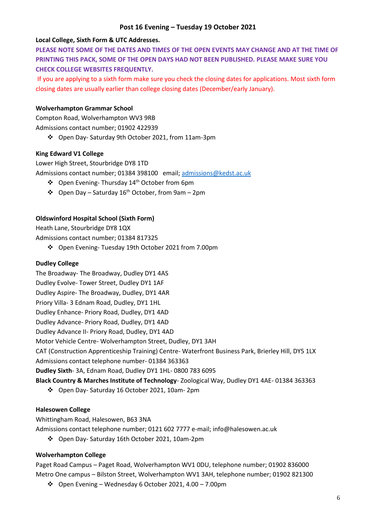#### **Local College, Sixth Form & UTC Addresses.**

**PLEASE NOTE SOME OF THE DATES AND TIMES OF THE OPEN EVENTS MAY CHANGE AND AT THE TIME OF PRINTING THIS PACK, SOME OF THE OPEN DAYS HAD NOT BEEN PUBLISHED. PLEASE MAKE SURE YOU CHECK COLLEGE WEBSITES FREQUENTLY.**

If you are applying to a sixth form make sure you check the closing dates for applications. Most sixth form closing dates are usually earlier than college closing dates (December/early January).

#### **Wolverhampton Grammar School**

Compton Road, Wolverhampton WV3 9RB Admissions contact number; 01902 422939

❖ Open Day- Saturday 9th October 2021, from 11am-3pm

#### **King Edward V1 College**

Lower High Street, Stourbridge DY8 1TD Admissions contact number; 01384 398100 email; [admissions@kedst.ac.uk](mailto:admissions@kedst.ac.uk)

- ❖ Open Evening- Thursday 14th October from 6pm
- ❖ Open Day Saturday 16th October, from 9am 2pm

#### **Oldswinford Hospital School (Sixth Form)**

Heath Lane, Stourbridge DY8 1QX

Admissions contact number; 01384 817325

❖ Open Evening- Tuesday 19th October 2021 from 7.00pm

#### **Dudley College**

The Broadway- The Broadway, Dudley DY1 4AS Dudley Evolve- Tower Street, Dudley DY1 1AF Dudley Aspire- The Broadway, Dudley, DY1 4AR Priory Villa- 3 Ednam Road, Dudley, DY1 1HL Dudley Enhance- Priory Road, Dudley, DY1 4AD Dudley Advance- Priory Road, Dudley, DY1 4AD Dudley Advance II- Priory Road, Dudley, DY1 4AD Motor Vehicle Centre- Wolverhampton Street, Dudley, DY1 3AH CAT (Construction Apprenticeship Training) Centre- Waterfront Business Park, Brierley Hill, DY5 1LX Admissions contact telephone number- 01384 363363 **Dudley Sixth**- 3A, Ednam Road, Dudley DY1 1HL- 0800 783 6095 **Black Country & Marches Institute of Technology**- Zoological Way, Dudley DY1 4AE- 01384 363363

❖ Open Day- Saturday 16 October 2021, 10am- 2pm

#### **Halesowen College**

Whittingham Road, Halesowen, B63 3NA

Admissions contact telephone number; 0121 602 7777 e-mail; info@halesowen.ac.uk

❖ Open Day- Saturday 16th October 2021, 10am-2pm

#### **Wolverhampton College**

Paget Road Campus – Paget Road, Wolverhampton WV1 0DU, telephone number; 01902 836000 Metro One campus – Bilston Street, Wolverhampton WV1 3AH, telephone number; 01902 821300

❖ Open Evening – Wednesday 6 October 2021, 4.00 – 7.00pm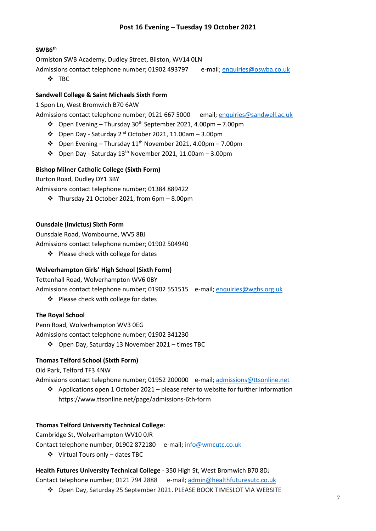# **SWB6th**

Ormiston SWB Academy, Dudley Street, Bilston, WV14 0LN

Admissions contact telephone number; 01902 493797 e-mail; [enquiries@oswba.co.uk](mailto:enquiries@oswba.co.uk)

❖ TBC

# **Sandwell College & Saint Michaels Sixth Form**

1 Spon Ln, West Bromwich B70 6AW

Admissions contact telephone number; 0121 667 5000 email; [enquiries@sandwell.ac.uk](mailto:enquiries@sandwell.ac.uk)

- ❖ Open Evening Thursday 30th September 2021, 4.00pm 7.00pm
- ❖ Open Day Saturday 2nd October 2021, 11.00am 3.00pm
- ❖ Open Evening Thursday 11th November 2021, 4.00pm 7.00pm
- ❖ Open Day Saturday 13th November 2021, 11.00am 3.00pm

# **Bishop Milner Catholic College (Sixth Form)**

Burton Road, Dudley DY1 3BY

Admissions contact telephone number; 01384 889422

❖ Thursday 21 October 2021, from 6pm – 8.00pm

# **Ounsdale (Invictus) Sixth Form**

Ounsdale Road, Wombourne, WV5 8BJ Admissions contact telephone number; 01902 504940

❖ Please check with college for dates

# **Wolverhampton Girls' High School (Sixth Form)**

Tettenhall Road, Wolverhampton WV6 0BY

Admissions contact telephone number; 01902 551515 e-mail; [enquiries@wghs.org.uk](mailto:enquiries@wghs.org.uk)

❖ Please check with college for dates

# **The Royal School**

Penn Road, Wolverhampton WV3 0EG

Admissions contact telephone number; 01902 341230

❖ Open Day, Saturday 13 November 2021 – times TBC

# **Thomas Telford School (Sixth Form)**

Old Park, Telford TF3 4NW

Admissions contact telephone number; 01952 200000 e-mail; [admissions@ttsonline.net](mailto:admissions@ttsonline.net)

❖ Applications open 1 October 2021 – please refer to website for further information https://www.ttsonline.net/page/admissions-6th-form

# **Thomas Telford University Technical College:**

Cambridge St, Wolverhampton WV10 0JR

Contact telephone number; 01902 872180 e-mail[; info@wmcutc.co.uk](mailto:info@wmcutc.co.uk)

❖ Virtual Tours only – dates TBC

# **Health Futures University Technical College** - 350 High St, West Bromwich B70 8DJ

Contact telephone number; 0121 794 2888 e-mail[; admin@healthfuturesutc.co.uk](mailto:admin@healthfuturesutc.co.uk)

❖ Open Day, Saturday 25 September 2021. PLEASE BOOK TIMESLOT VIA WEBSITE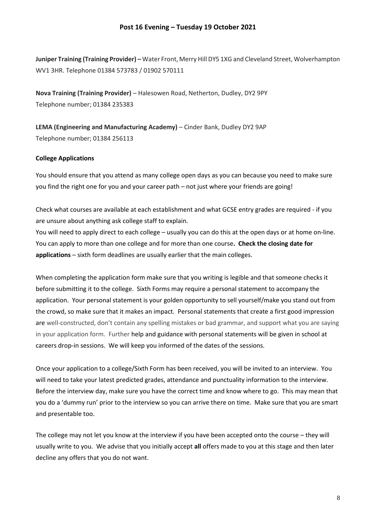**Juniper Training (Training Provider) –** Water Front, Merry Hill DY5 1XG and Cleveland Street, Wolverhampton WV1 3HR. Telephone 01384 573783 / 01902 570111

**Nova Training (Training Provider)** – Halesowen Road, Netherton, Dudley, DY2 9PY Telephone number; 01384 235383

**LEMA (Engineering and Manufacturing Academy)** – Cinder Bank, Dudley DY2 9AP Telephone number; 01384 256113

#### **College Applications**

You should ensure that you attend as many college open days as you can because you need to make sure you find the right one for you and your career path – not just where your friends are going!

Check what courses are available at each establishment and what GCSE entry grades are required - if you are unsure about anything ask college staff to explain.

You will need to apply direct to each college – usually you can do this at the open days or at home on-line. You can apply to more than one college and for more than one course**. Check the closing date for applications** – sixth form deadlines are usually earlier that the main colleges.

When completing the application form make sure that you writing is legible and that someone checks it before submitting it to the college. Sixth Forms may require a personal statement to accompany the application. Your personal statement is your golden opportunity to sell yourself/make you stand out from the crowd, so make sure that it makes an impact. Personal statements that create a first good impression are well-constructed, don't contain any spelling mistakes or bad grammar, and support what you are saying in your application form. Further help and guidance with personal statements will be given in school at careers drop-in sessions. We will keep you informed of the dates of the sessions.

Once your application to a college/Sixth Form has been received, you will be invited to an interview. You will need to take your latest predicted grades, attendance and punctuality information to the interview. Before the interview day, make sure you have the correct time and know where to go. This may mean that you do a 'dummy run' prior to the interview so you can arrive there on time. Make sure that you are smart and presentable too.

The college may not let you know at the interview if you have been accepted onto the course – they will usually write to you. We advise that you initially accept **all** offers made to you at this stage and then later decline any offers that you do not want.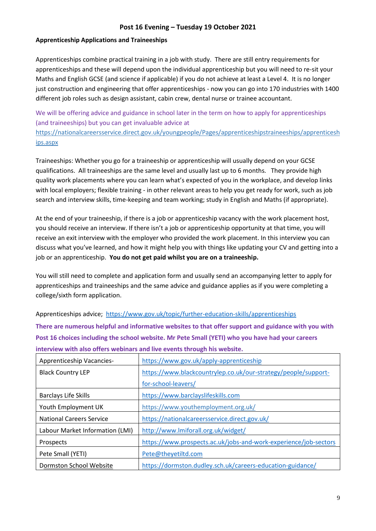# **Apprenticeship Applications and Traineeships**

Apprenticeships combine practical training in a job with study. There are still entry requirements for apprenticeships and these will depend upon the individual apprenticeship but you will need to re-sit your Maths and English GCSE (and science if applicable) if you do not achieve at least a Level 4. It is no longer just construction and engineering that offer apprenticeships - now you can go into 170 industries with 1400 different job roles such as design assistant, cabin crew, dental nurse or trainee accountant.

We will be offering advice and guidance in school later in the term on how to apply for apprenticeships (and traineeships) but you can get invaluable advice at https://nationalcareersservice.direct.gov.uk/youngpeople/Pages/apprenticeshipstraineeships/apprenticesh ips.aspx

Traineeships: Whether you go for a traineeship or apprenticeship will usually depend on your GCSE qualifications. All traineeships are the same level and usually last up to 6 months. They provide high quality work placements where you can learn what's expected of you in the workplace, and develop links with local employers; flexible training - in other relevant areas to help you get ready for work, such as job search and interview skills, time-keeping and team working; study in English and Maths (if appropriate).

At the end of your traineeship, if there is a job or apprenticeship vacancy with the work placement host, you should receive an interview. If there isn't a job or apprenticeship opportunity at that time, you will receive an exit interview with the employer who provided the work placement. In this interview you can discuss what you've learned, and how it might help you with things like updating your CV and getting into a job or an apprenticeship. **You do not get paid whilst you are on a traineeship.** 

You will still need to complete and application form and usually send an accompanying letter to apply for apprenticeships and traineeships and the same advice and guidance applies as if you were completing a college/sixth form application.

Apprenticeships advice; <https://www.gov.uk/topic/further-education-skills/apprenticeships> **There are numerous helpful and informative websites to that offer support and guidance with you with Post 16 choices including the school website. Mr Pete Small (YETI) who you have had your careers interview with also offers webinars and live events through his website.**

| Apprenticeship Vacancies-       | https://www.gov.uk/apply-apprenticeship                          |
|---------------------------------|------------------------------------------------------------------|
| <b>Black Country LEP</b>        | https://www.blackcountrylep.co.uk/our-strategy/people/support-   |
|                                 | for-school-leavers/                                              |
| <b>Barclays Life Skills</b>     | https://www.barclayslifeskills.com                               |
| Youth Employment UK             | https://www.youthemployment.org.uk/                              |
| <b>National Careers Service</b> | https://nationalcareersservice.direct.gov.uk/                    |
| Labour Market Information (LMI) | http://www.lmiforall.org.uk/widget/                              |
| Prospects                       | https://www.prospects.ac.uk/jobs-and-work-experience/job-sectors |
| Pete Small (YETI)               | Pete@theyetiltd.com                                              |
| Dormston School Website         | https://dormston.dudley.sch.uk/careers-education-guidance/       |